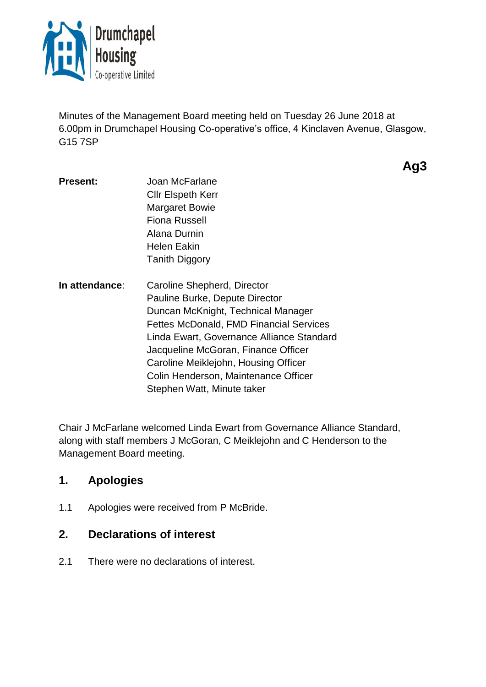

Minutes of the Management Board meeting held on Tuesday 26 June 2018 at 6.00pm in Drumchapel Housing Co-operative's office, 4 Kinclaven Avenue, Glasgow, G15 7SP

**Ag3**

- **Present:** Joan McFarlane Cllr Elspeth Kerr Margaret Bowie Fiona Russell Alana Durnin Helen Eakin Tanith Diggory **In attendance**: Caroline Shepherd, Director Pauline Burke, Depute Director Duncan McKnight, Technical Manager Fettes McDonald, FMD Financial Services
	- Linda Ewart, Governance Alliance Standard Jacqueline McGoran, Finance Officer Caroline Meiklejohn, Housing Officer Colin Henderson, Maintenance Officer Stephen Watt, Minute taker

Chair J McFarlane welcomed Linda Ewart from Governance Alliance Standard, along with staff members J McGoran, C Meiklejohn and C Henderson to the Management Board meeting.

## **1. Apologies**

1.1 Apologies were received from P McBride.

## **2. Declarations of interest**

2.1 There were no declarations of interest.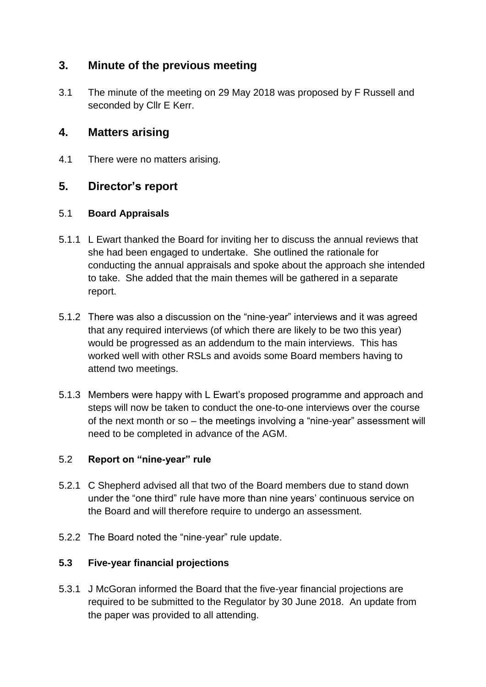# **3. Minute of the previous meeting**

3.1 The minute of the meeting on 29 May 2018 was proposed by F Russell and seconded by Cllr E Kerr.

## **4. Matters arising**

4.1 There were no matters arising.

## **5. Director's report**

### 5.1 **Board Appraisals**

- 5.1.1 L Ewart thanked the Board for inviting her to discuss the annual reviews that she had been engaged to undertake. She outlined the rationale for conducting the annual appraisals and spoke about the approach she intended to take. She added that the main themes will be gathered in a separate report.
- 5.1.2 There was also a discussion on the "nine-year" interviews and it was agreed that any required interviews (of which there are likely to be two this year) would be progressed as an addendum to the main interviews. This has worked well with other RSLs and avoids some Board members having to attend two meetings.
- 5.1.3 Members were happy with L Ewart's proposed programme and approach and steps will now be taken to conduct the one-to-one interviews over the course of the next month or so – the meetings involving a "nine-year" assessment will need to be completed in advance of the AGM.

### 5.2 **Report on "nine-year" rule**

- 5.2.1 C Shepherd advised all that two of the Board members due to stand down under the "one third" rule have more than nine years' continuous service on the Board and will therefore require to undergo an assessment.
- 5.2.2 The Board noted the "nine-year" rule update.

### **5.3 Five-year financial projections**

5.3.1 J McGoran informed the Board that the five-year financial projections are required to be submitted to the Regulator by 30 June 2018. An update from the paper was provided to all attending.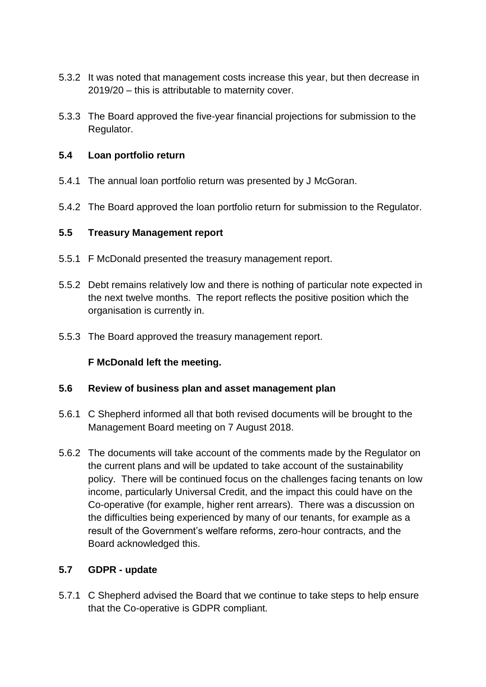- 5.3.2 It was noted that management costs increase this year, but then decrease in 2019/20 – this is attributable to maternity cover.
- 5.3.3 The Board approved the five-year financial projections for submission to the Regulator.

#### **5.4 Loan portfolio return**

- 5.4.1 The annual loan portfolio return was presented by J McGoran.
- 5.4.2 The Board approved the loan portfolio return for submission to the Regulator.

#### **5.5 Treasury Management report**

- 5.5.1 F McDonald presented the treasury management report.
- 5.5.2 Debt remains relatively low and there is nothing of particular note expected in the next twelve months. The report reflects the positive position which the organisation is currently in.
- 5.5.3 The Board approved the treasury management report.

### **F McDonald left the meeting.**

#### **5.6 Review of business plan and asset management plan**

- 5.6.1 C Shepherd informed all that both revised documents will be brought to the Management Board meeting on 7 August 2018.
- 5.6.2 The documents will take account of the comments made by the Regulator on the current plans and will be updated to take account of the sustainability policy. There will be continued focus on the challenges facing tenants on low income, particularly Universal Credit, and the impact this could have on the Co-operative (for example, higher rent arrears). There was a discussion on the difficulties being experienced by many of our tenants, for example as a result of the Government's welfare reforms, zero-hour contracts, and the Board acknowledged this.

### **5.7 GDPR - update**

5.7.1 C Shepherd advised the Board that we continue to take steps to help ensure that the Co-operative is GDPR compliant.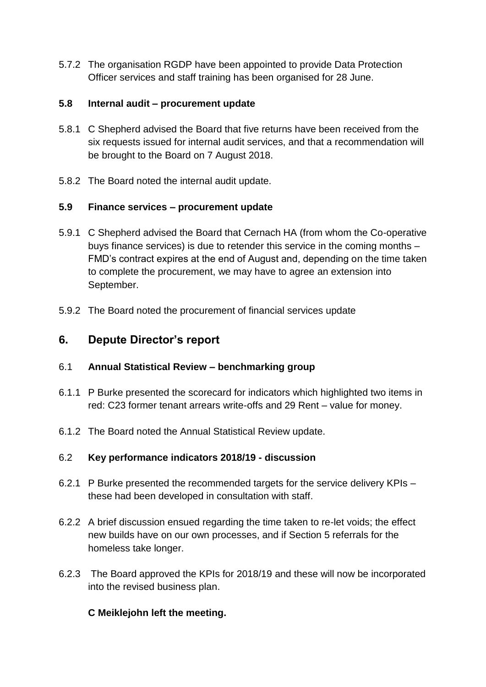5.7.2 The organisation RGDP have been appointed to provide Data Protection Officer services and staff training has been organised for 28 June.

### **5.8 Internal audit – procurement update**

- 5.8.1 C Shepherd advised the Board that five returns have been received from the six requests issued for internal audit services, and that a recommendation will be brought to the Board on 7 August 2018.
- 5.8.2 The Board noted the internal audit update.

### **5.9 Finance services – procurement update**

- 5.9.1 C Shepherd advised the Board that Cernach HA (from whom the Co-operative buys finance services) is due to retender this service in the coming months – FMD's contract expires at the end of August and, depending on the time taken to complete the procurement, we may have to agree an extension into September.
- 5.9.2 The Board noted the procurement of financial services update

# **6. Depute Director's report**

### 6.1 **Annual Statistical Review – benchmarking group**

- 6.1.1 P Burke presented the scorecard for indicators which highlighted two items in red: C23 former tenant arrears write-offs and 29 Rent – value for money.
- 6.1.2 The Board noted the Annual Statistical Review update.

## 6.2 **Key performance indicators 2018/19 - discussion**

- 6.2.1 P Burke presented the recommended targets for the service delivery KPIs these had been developed in consultation with staff.
- 6.2.2 A brief discussion ensued regarding the time taken to re-let voids; the effect new builds have on our own processes, and if Section 5 referrals for the homeless take longer.
- 6.2.3 The Board approved the KPIs for 2018/19 and these will now be incorporated into the revised business plan.

## **C Meiklejohn left the meeting.**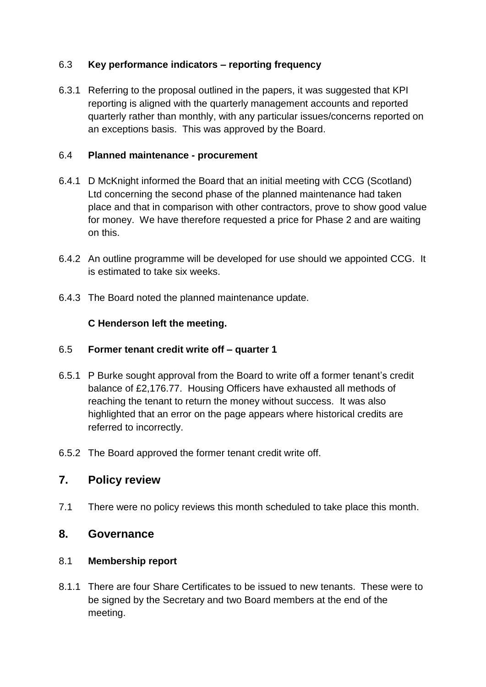### 6.3 **Key performance indicators – reporting frequency**

6.3.1 Referring to the proposal outlined in the papers, it was suggested that KPI reporting is aligned with the quarterly management accounts and reported quarterly rather than monthly, with any particular issues/concerns reported on an exceptions basis. This was approved by the Board.

### 6.4 **Planned maintenance - procurement**

- 6.4.1 D McKnight informed the Board that an initial meeting with CCG (Scotland) Ltd concerning the second phase of the planned maintenance had taken place and that in comparison with other contractors, prove to show good value for money. We have therefore requested a price for Phase 2 and are waiting on this.
- 6.4.2 An outline programme will be developed for use should we appointed CCG. It is estimated to take six weeks.
- 6.4.3 The Board noted the planned maintenance update.

## **C Henderson left the meeting.**

### 6.5 **Former tenant credit write off – quarter 1**

- 6.5.1 P Burke sought approval from the Board to write off a former tenant's credit balance of £2,176.77. Housing Officers have exhausted all methods of reaching the tenant to return the money without success. It was also highlighted that an error on the page appears where historical credits are referred to incorrectly.
- 6.5.2 The Board approved the former tenant credit write off.

## **7. Policy review**

7.1 There were no policy reviews this month scheduled to take place this month.

## **8. Governance**

## 8.1 **Membership report**

8.1.1 There are four Share Certificates to be issued to new tenants. These were to be signed by the Secretary and two Board members at the end of the meeting.